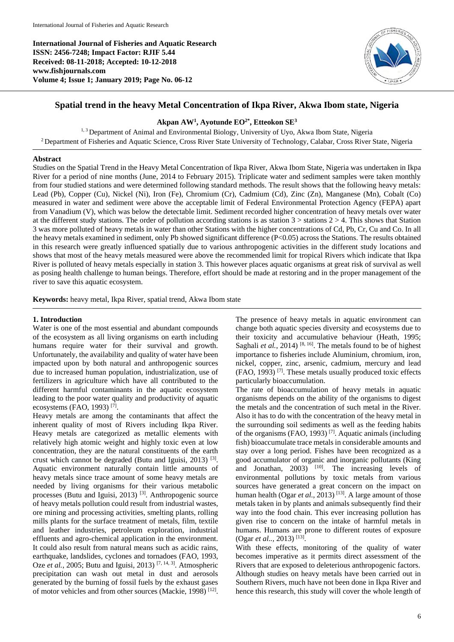**International Journal of Fisheries and Aquatic Research ISSN: 2456-7248; Impact Factor: RJIF 5.44 Received: 08-11-2018; Accepted: 10-12-2018 www.fishjournals.com Volume 4; Issue 1; January 2019; Page No. 06-12**



# **Spatial trend in the heavy Metal Concentration of Ikpa River, Akwa Ibom state, Nigeria**

## **Akpan AW<sup>1</sup> , Ayotunde EO2\* , Etteokon SE<sup>3</sup>**

<sup>1, 3</sup> Department of Animal and Environmental Biology, University of Uyo, Akwa Ibom State, Nigeria <sup>2</sup> Department of Fisheries and Aquatic Science, Cross River State University of Technology, Calabar, Cross River State, Nigeria

### **Abstract**

Studies on the Spatial Trend in the Heavy Metal Concentration of Ikpa River, Akwa Ibom State, Nigeria was undertaken in Ikpa River for a period of nine months (June, 2014 to February 2015). Triplicate water and sediment samples were taken monthly from four studied stations and were determined following standard methods. The result shows that the following heavy metals: Lead (Pb), Copper (Cu), Nickel (Ni), Iron (Fe), Chromium (Cr), Cadmium (Cd), Zinc (Zn), Manganese (Mn), Cobalt (Co) measured in water and sediment were above the acceptable limit of Federal Environmental Protection Agency (FEPA) apart from Vanadium (V), which was below the detectable limit. Sediment recorded higher concentration of heavy metals over water at the different study stations. The order of pollution according stations is as station  $3$  > stations  $2$  > 4. This shows that Station 3 was more polluted of heavy metals in water than other Stations with the higher concentrations of Cd, Pb, Cr, Cu and Co. In all the heavy metals examined in sediment, only Pb showed significant difference (P<0.05) across the Stations. The results obtained in this research were greatly influenced spatially due to various anthropogenic activities in the different study locations and shows that most of the heavy metals measured were above the recommended limit for tropical Rivers which indicate that Ikpa River is polluted of heavy metals especially in station 3. This however places aquatic organisms at great risk of survival as well as posing health challenge to human beings. Therefore, effort should be made at restoring and in the proper management of the river to save this aquatic ecosystem.

**Keywords:** heavy metal, Ikpa River, spatial trend, Akwa Ibom state

### **1. Introduction**

Water is one of the most essential and abundant compounds of the ecosystem as all living organisms on earth including humans require water for their survival and growth. Unfortunately, the availability and quality of water have been impacted upon by both natural and anthropogenic sources due to increased human population, industrialization, use of fertilizers in agriculture which have all contributed to the different harmful contaminants in the aquatic ecosystem leading to the poor water quality and productivity of aquatic ecosystems (FAO, 1993)<sup>[7]</sup>.

Heavy metals are among the contaminants that affect the inherent quality of most of Rivers including Ikpa River. Heavy metals are categorized as metallic elements with relatively high atomic weight and highly toxic even at low concentration, they are the natural constituents of the earth crust which cannot be degraded (Butu and Iguisi, 2013)<sup>[3]</sup>. Aquatic environment naturally contain little amounts of heavy metals since trace amount of some heavy metals are needed by living organisms for their various metabolic processes (Butu and Iguisi, 2013)<sup>[3]</sup>. Anthropogenic source of heavy metals pollution could result from industrial wastes, ore mining and processing activities, smelting plants, rolling mills plants for the surface treatment of metals, film, textile and leather industries, petroleum exploration, industrial effluents and agro-chemical application in the environment. It could also result from natural means such as acidic rains, earthquake, landslides, cyclones and tornadoes (FAO, 1993, Oze *et al.*, 2005; Butu and Iguisi, 2013)<sup>[7, 14, 3]. Atmospheric</sup> precipitation can wash out metal in dust and aerosols generated by the burning of fossil fuels by the exhaust gases of motor vehicles and from other sources (Mackie, 1998)<sup>[12]</sup>.

The presence of heavy metals in aquatic environment can change both aquatic species diversity and ecosystems due to their toxicity and accumulative behaviour (Heath, 1995; Saghali *et al.*, 2014)<sup>[8, 16]</sup>. The metals found to be of highest importance to fisheries include Aluminium, chromium, iron, nickel, copper, zinc, arsenic, cadmium, mercury and lead  $(FAO, 1993)$  [7]. These metals usually produced toxic effects particularly bioaccumulation.

The rate of bioaccumulation of heavy metals in aquatic organisms depends on the ability of the organisms to digest the metals and the concentration of such metal in the River. Also it has to do with the concentration of the heavy metal in the surrounding soil sediments as well as the feeding habits of the organisms (FAO, 1993) [7]. Aquatic animals (including fish) bioaccumulate trace metals in considerable amounts and stay over a long period. Fishes have been recognized as a good accumulator of organic and inorganic pollutants (King and Jonathan,  $2003$ <sup> $\left[10\right]$ </sup>. The increasing levels of environmental pollutions by toxic metals from various sources have generated a great concern on the impact on human health (Ogar *et al.*, 2013)<sup>[13]</sup>. A large amount of those metals taken in by plants and animals subsequently find their way into the food chain. This ever increasing pollution has given rise to concern on the intake of harmful metals in humans. Humans are prone to different routes of exposure (Ogar *et al..,* 2013)<sup>[13]</sup>.

With these effects, monitoring of the quality of water becomes imperative as it permits direct assessment of the Rivers that are exposed to deleterious anthropogenic factors. Although studies on heavy metals have been carried out in Southern Rivers, much have not been done in Ikpa River and hence this research, this study will cover the whole length of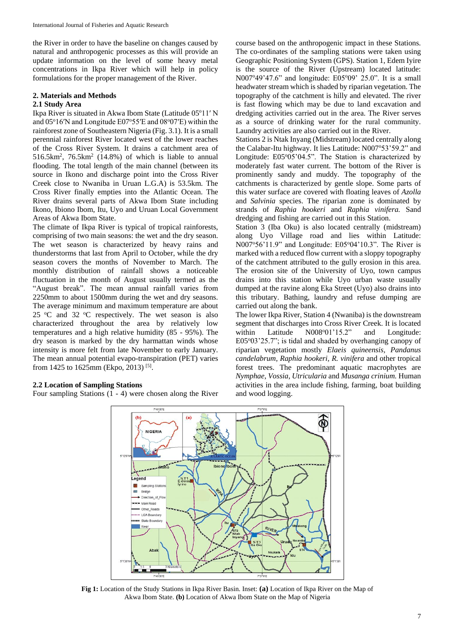the River in order to have the baseline on changes caused by natural and anthropogenic processes as this will provide an update information on the level of some heavy metal concentrations in Ikpa River which will help in policy formulations for the proper management of the River.

# **2. Materials and Methods**

### **2.1 Study Area**

Ikpa River is situated in Akwa Ibom State (Latitude 05°11' N and  $05^{\circ}16$ <sup>N</sup> and Longitude E07 $\degree$ 55<sup>'</sup>E and  $08^{\circ}07$ <sup>'E</sup>) within the rainforest zone of Southeastern Nigeria (Fig. 3.1). It is a small perennial rainforest River located west of the lower reaches of the Cross River System. It drains a catchment area of  $516.5 \text{km}^2$ ,  $76.5 \text{km}^2$  (14.8%) of which is liable to annual flooding. The total length of the main channel (between its source in Ikono and discharge point into the Cross River Creek close to Nwaniba in Uruan L.G.A) is 53.5km. The Cross River finally empties into the Atlantic Ocean. The River drains several parts of Akwa Ibom State including Ikono, Ibiono Ibom, Itu, Uyo and Uruan Local Government Areas of Akwa Ibom State.

The climate of Ikpa River is typical of tropical rainforests, comprising of two main seasons: the wet and the dry season. The wet season is characterized by heavy rains and thunderstorms that last from April to October, while the dry season covers the months of November to March. The monthly distribution of rainfall shows a noticeable fluctuation in the month of August usually termed as the "August break". The mean annual rainfall varies from 2250mm to about 1500mm during the wet and dry seasons. The average minimum and maximum temperature are about 25  $\degree$ C and 32  $\degree$ C respectively. The wet season is also characterized throughout the area by relatively low temperatures and a high relative humidity (85 - 95%). The dry season is marked by the dry harmattan winds whose intensity is more felt from late November to early January. The mean annual potential evapo-transpiration (PET) varies from 1425 to 1625mm (Ekpo, 2013)<sup>[5]</sup>.

### **2.2 Location of Sampling Stations**

Four sampling Stations (1 - 4) were chosen along the River

course based on the anthropogenic impact in these Stations. The co-ordinates of the sampling stations were taken using Geographic Positioning System (GPS). Station 1, Edem Iyire is the source of the River (Upstream) located latitude: N007°49'47.6" and longitude: E05°09' 25.0". It is a small headwater stream which is shaded by riparian vegetation. The topography of the catchment is hilly and elevated. The river is fast flowing which may be due to land excavation and dredging activities carried out in the area. The River serves as a source of drinking water for the rural community. Laundry activities are also carried out in the River.

Stations 2 is Ntak Inyang (Midstream) located centrally along the Calabar-Itu highway. It lies Latitude: N007°53'59.2" and Longitude: E05°05'04.5". The Station is characterized by moderately fast water current. The bottom of the River is prominently sandy and muddy. The topography of the catchments is characterized by gentle slope. Some parts of this water surface are covered with floating leaves of *Azolla* and *Salvinia* species. The riparian zone is dominated by strands of *Raphia hookeri* and *Raphia vinifera.* Sand dredging and fishing are carried out in this Station.

Station 3 (Iba Oku) is also located centrally (midstream) along Uyo Village road and lies within Latitude: N007°56'11.9" and Longitude: E05°04'10.3". The River is marked with a reduced flow current with a sloppy topography of the catchment attributed to the gully erosion in this area. The erosion site of the University of Uyo, town campus drains into this station while Uyo urban waste usually dumped at the ravine along Eka Street (Uyo) also drains into this tributary. Bathing, laundry and refuse dumping are carried out along the bank.

The lower Ikpa River, Station 4 (Nwaniba) is the downstream segment that discharges into Cross River Creek. It is located within Latitude N008°01'15.2" and Longitude: E05°03'25.7"; is tidal and shaded by overhanging canopy of riparian vegetation mostly *Elaeis quineensis, Pandanus candelabrum, Raphia hookeri, R. vinifera* and other tropical forest trees. The predominant aquatic macrophytes are *Nymphae*, *Vossia*, *Utricularia* and *Musanga crinium.* Human activities in the area include fishing, farming, boat building and wood logging.



**Fig 1:** Location of the Study Stations in Ikpa River Basin. Inset: **(a)** Location of Ikpa River on the Map of Akwa Ibom State. **(b)** Location of Akwa Ibom State on the Map of Nigeria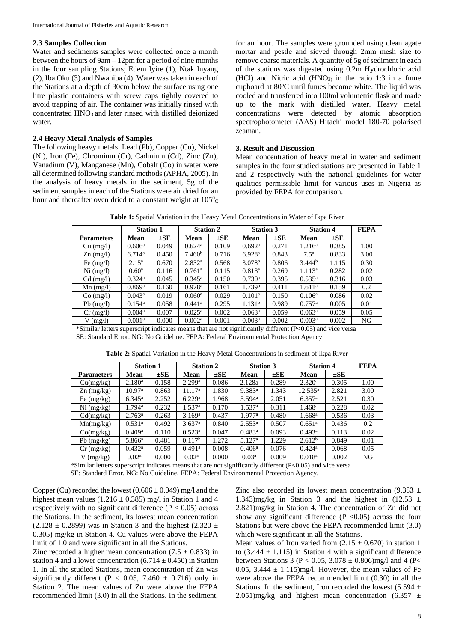#### **2.3 Samples Collection**

Water and sediments samples were collected once a month between the hours of 9am – 12pm for a period of nine months in the four sampling Stations; Edem Iyire (1), Ntak Inyang (2), Iba Oku (3) and Nwaniba (4). Water was taken in each of the Stations at a depth of 30cm below the surface using one litre plastic containers with screw caps tightly covered to avoid trapping of air. The container was initially rinsed with concentrated HNO<sub>3</sub> and later rinsed with distilled deionized water.

#### **2.4 Heavy Metal Analysis of Samples**

The following heavy metals: Lead (Pb), Copper (Cu), Nickel (Ni), Iron (Fe), Chromium (Cr), Cadmium (Cd), Zinc (Zn), Vanadium (V), Manganese (Mn), Cobalt (Co) in water were all determined following standard methods (APHA, 2005). In the analysis of heavy metals in the sediment, 5g of the sediment samples in each of the Stations were air dried for an hour and thereafter oven dried to a constant weight at  $105^{\circ}$ C

for an hour. The samples were grounded using clean agate mortar and pestle and sieved through 2mm mesh size to remove coarse materials. A quantity of 5g of sediment in each of the stations was digested using 0.2m Hydrochloric acid (HCl) and Nitric acid  $(HNO<sub>3</sub>)$  in the ratio 1:3 in a fume cupboard at  $80^{\circ}$ C until fumes become white. The liquid was cooled and transferred into 100ml volumetric flask and made up to the mark with distilled water. Heavy metal concentrations were detected by atomic absorption spectrophotometer (AAS) Hitachi model 180-70 polarised zeaman.

### **3. Result and Discussion**

Mean concentration of heavy metal in water and sediment samples in the four studied stations are presented in Table 1 and 2 respectively with the national guidelines for water qualities permissible limit for various uses in Nigeria as provided by FEPA for comparison.

|                    | <b>Station 1</b>     |          | <b>Station 2</b>     |          | <b>Station 3</b>     |          | <b>Station 4</b>     |          | <b>FEPA</b> |  |
|--------------------|----------------------|----------|----------------------|----------|----------------------|----------|----------------------|----------|-------------|--|
| <b>Parameters</b>  | Mean                 | $\pm$ SE | Mean                 | $\pm$ SE | Mean                 | $\pm$ SE | Mean                 | $\pm$ SE |             |  |
| Cu (mg/l)          | 0.606 <sup>a</sup>   | 0.049    | $0.624$ <sup>a</sup> | 0.109    | 0.692 <sup>a</sup>   | 0.271    | $1.216^{\rm a}$      | 0.385    | 1.00        |  |
| $\text{Zn}$ (mg/l) | $6.714$ <sup>a</sup> | 0.450    | 7.460 <sup>b</sup>   | 0.716    | 6.928 <sup>a</sup>   | 0.843    | 7.5 <sup>a</sup>     | 0.833    | 3.00        |  |
| Fe $(mg/l)$        | $2.15^{\rm a}$       | 0.670    | 2.832 <sup>a</sup>   | 0.568    | 3.078 <sup>b</sup>   | 0.806    | 3.444 <sup>b</sup>   | 1.115    | 0.30        |  |
| $Ni$ (mg/l)        | $0.60^{\rm a}$       | 0.116    | $0.761$ <sup>a</sup> | 0.115    | $0.813^a$            | 0.269    | 1.113 <sup>a</sup>   | 0.282    | 0.02        |  |
| $Cd$ (mg/l)        | $0.324$ <sup>a</sup> | 0.045    | $0.345^{\rm a}$      | 0.150    | $0.730$ <sup>a</sup> | 0.395    | $0.535^{\rm a}$      | 0.316    | 0.03        |  |
| $Mn$ (mg/l)        | $0.869$ <sup>a</sup> | 0.160    | $0.978$ <sup>a</sup> | 0.161    | 1.739 <sup>b</sup>   | 0.411    | 1.611 <sup>a</sup>   | 0.159    | 0.2         |  |
| $Co$ (mg/l)        | $0.043^a$            | 0.019    | $0.060$ <sup>a</sup> | 0.029    | 0.101 <sup>a</sup>   | 0.150    | $0.106^{\rm a}$      | 0.086    | 0.02        |  |
| $Pb$ (mg/l)        | $0.154^{\rm a}$      | 0.058    | $0.441$ <sup>a</sup> | 0.295    | 1.131 <sup>b</sup>   | 0.989    | $0.757$ <sup>a</sup> | 0.005    | 0.01        |  |

**Table 1:** Spatial Variation in the Heavy Metal Concentrations in Water of Ikpa River

\*Similar letters superscript indicates means that are not significantly different (P<0.05) and vice versa SE: Standard Error. NG: No Guideline. FEPA: Federal Environmental Protection Agency.

|                   | <b>Station 1</b>   |          | <b>Station 2</b>     |          | <b>Station 3</b>     |          | <b>Station 4</b>     |          | <b>FEPA</b> |
|-------------------|--------------------|----------|----------------------|----------|----------------------|----------|----------------------|----------|-------------|
| <b>Parameters</b> | Mean               | $\pm$ SE | Mean                 | $\pm$ SE | <b>Mean</b>          | $\pm$ SE | Mean                 | $\pm$ SE |             |
| Cu(mg/kg)         | 2.180 <sup>a</sup> | 0.158    | 2.299 <sup>a</sup>   | 0.086    | 2.128a               | 0.289    | 2.320 <sup>a</sup>   | 0.305    | 1.00        |
| $Zn$ (mg/kg)      | 10.97 <sup>a</sup> | 0.863    | 11.17 <sup>a</sup>   | 1.830    | $9.383$ <sup>a</sup> | 1.343    | $12.535^{\rm a}$     | 2.821    | 3.00        |
| Fe $(mg/kg)$      | $6.345^{\rm a}$    | 2.252    | 6.229a               | 1.968    | $5.594$ <sup>a</sup> | 2.051    | 6.357 <sup>a</sup>   | 2.521    | 0.30        |
| $Ni$ (mg/kg)      | $1.794^{\rm a}$    | 0.232    | 1.537 <sup>a</sup>   | 0.170    | 1.537 <sup>a</sup>   | 0.311    | 1.468 <sup>a</sup>   | 0.228    | 0.02        |
| Cd(mg/kg)         | $2.763^{\rm a}$    | 0.263    | 3.169 <sup>a</sup>   | 0.437    | 1.977a               | 0.480    | $1.668$ <sup>a</sup> | 0.536    | 0.03        |
| Mn(mg/kg)         | 0.531 <sup>a</sup> | 0.492    | $3.637$ <sup>a</sup> | 0.840    | $2.553^{\rm a}$      | 0.507    | $0.651^{\rm a}$      | 0.436    | 0.2         |
| Co(mg/kg)         | 0.409 <sup>a</sup> | 0.110    | $0.523^{\rm a}$      | 0.047    | $0.483^a$            | 0.093    | $0.493^a$            | 0.113    | 0.02        |
| Pb $(mg/kg)$      | $5.866^{\rm a}$    | 0.481    | 0.117 <sup>b</sup>   | 1.272    | 5.127 <sup>a</sup>   | 1.229    | 2.612 <sup>b</sup>   | 0.849    | 0.01        |
| $Cr$ (mg/kg)      | $0.432^{\rm a}$    | 0.059    | $0.491$ <sup>a</sup> | 0.008    | 0.406 <sup>a</sup>   | 0.076    | $0.424$ <sup>a</sup> | 0.068    | 0.05        |
| (mg/kg)<br>V      | $0.02^{\rm a}$     | 0.000    | 0.02 <sup>a</sup>    | 0.000    | 0.03 <sup>a</sup>    | 0.009    | $0.018^{a}$          | 0.002    | NG          |

**Table 2:** Spatial Variation in the Heavy Metal Concentrations in sediment of Ikpa River

 $Cr \text{ (mg/1)} \quad | \quad 0.004^{\text{a}} \quad | \quad 0.007 \quad | \quad 0.025^{\text{a}} \quad | \quad 0.002 \quad | \quad 0.063^{\text{a}} \quad | \quad 0.059 \quad | \quad 0.059 \quad | \quad 0.059 \quad | \quad 0.059 \quad | \quad 0.059 \quad | \quad 0.059 \quad | \quad 0.059 \quad | \quad 0.059 \quad | \quad 0.059 \quad | \quad 0.059 \quad | \quad 0.059 \quad | \quad 0.059 \quad | \quad$ V (mg/l) 0.001<sup>a</sup> 0.000 0.002<sup>a</sup> 0.001 0.003<sup>a</sup> 0.002 0.003<sup>a</sup> 0.002 NG

\*Similar letters superscript indicates means that are not significantly different (P<0.05) and vice versa SE: Standard Error. NG: No Guideline. FEPA: Federal Environmental Protection Agency.

Copper (Cu) recorded the lowest  $(0.606 \pm 0.049)$  mg/l and the highest mean values (1.216  $\pm$  0.385) mg/l in Station 1 and 4 respectively with no significant difference  $(P < 0.05)$  across the Stations. In the sediment, its lowest mean concentration  $(2.128 \pm 0.2899)$  was in Station 3 and the highest  $(2.320 \pm 0.2899)$ 0.305) mg/kg in Station 4. Cu values were above the FEPA limit of 1.0 and were significant in all the Stations.

Zinc recorded a higher mean concentration  $(7.5 \pm 0.833)$  in station 4 and a lower concentration  $(6.714 \pm 0.450)$  in Station 1. In all the studied Stations, mean concentration of Zn was significantly different (P < 0.05, 7.460  $\pm$  0.716) only in Station 2. The mean values of Zn were above the FEPA recommended limit (3.0) in all the Stations. In the sediment,

Zinc also recorded its lowest mean concentration (9.383  $\pm$ 1.343)mg/kg in Station 3 and the highest in  $(12.53 \pm 1.343)$ 2.821)mg/kg in Station 4. The concentration of Zn did not show any significant difference ( $P < 0.05$ ) across the four Stations but were above the FEPA recommended limit (3.0) which were significant in all the Stations.

Mean values of Iron varied from  $(2.15 \pm 0.670)$  in station 1 to  $(3.444 \pm 1.115)$  in Station 4 with a significant difference between Stations 3 (P < 0.05,  $3.078 \pm 0.806$ )mg/l and 4 (P < 0.05, 3.444  $\pm$  1.115)mg/l. However, the mean values of Fe were above the FEPA recommended limit (0.30) in all the Stations. In the sediment, Iron recorded the lowest (5.594  $\pm$ 2.051)mg/kg and highest mean concentration  $(6.357 \pm$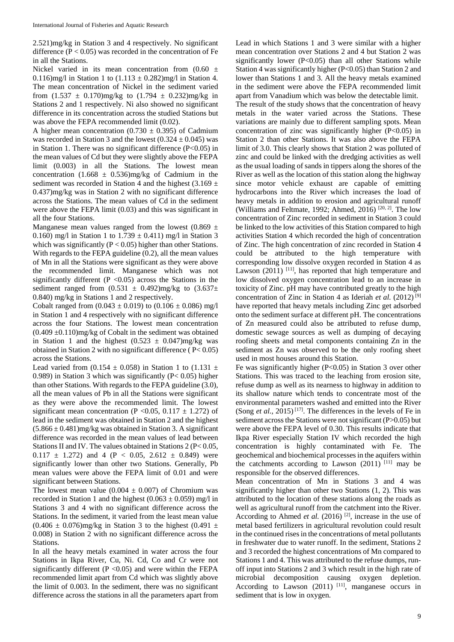2.521)mg/kg in Station 3 and 4 respectively. No significant difference  $(P < 0.05)$  was recorded in the concentration of Fe in all the Stations.

Nickel varied in its mean concentration from  $(0.60 \pm$ 0.116)mg/l in Station 1 to  $(1.113 \pm 0.282)$ mg/l in Station 4. The mean concentration of Nickel in the sediment varied from  $(1.537 \pm 0.170)$ mg/kg to  $(1.794 \pm 0.232)$ mg/kg in Stations 2 and 1 respectively. Ni also showed no significant difference in its concentration across the studied Stations but was above the FEPA recommended limit  $(0.02)$ .

A higher mean concentration  $(0.730 \pm 0.395)$  of Cadmium was recorded in Station 3 and the lowest  $(0.324 \pm 0.045)$  was in Station 1. There was no significant difference (P<0.05) in the mean values of Cd but they were slightly above the FEPA limit (0.003) in all the Stations. The lowest mean concentration (1.668  $\pm$  0.536)mg/kg of Cadmium in the sediment was recorded in Station 4 and the highest  $(3.169 \pm$ 0.437)mg/kg was in Station 2 with no significant difference across the Stations. The mean values of Cd in the sediment were above the FEPA limit  $(0.03)$  and this was significant in all the four Stations.

Manganese mean values ranged from the lowest (0.869  $\pm$ 0.160) mg/l in Station 1 to  $1.739 \pm 0.411$  mg/l in Station 3 which was significantly ( $P < 0.05$ ) higher than other Stations. With regards to the FEPA guideline (0.2), all the mean values of Mn in all the Stations were significant as they were above the recommended limit. Manganese which was not significantly different ( $P \le 0.05$ ) across the Stations in the sediment ranged from  $(0.531 \pm 0.492)$ mg/kg to  $(3.637 \pm 0.492)$ 0.840) mg/kg in Stations 1 and 2 respectively.

Cobalt ranged from  $(0.043 \pm 0.019)$  to  $(0.106 \pm 0.086)$  mg/l in Station 1 and 4 respectively with no significant difference across the four Stations. The lowest mean concentration  $(0.409 \pm 0.110)$ mg/kg of Cobalt in the sediment was obtained in Station 1 and the highest  $(0.523 \pm 0.047)$ mg/kg was obtained in Station 2 with no significant difference ( P< 0.05) across the Stations.

Lead varied from (0.154  $\pm$  0.058) in Station 1 to (1.131  $\pm$ 0.989) in Station 3 which was significantly (P< 0.05) higher than other Stations. With regards to the FEPA guideline (3.0), all the mean values of Pb in all the Stations were significant as they were above the recommended limit. The lowest significant mean concentration (P <0.05, 0.117  $\pm$  1.272) of lead in the sediment was obtained in Station 2 and the highest  $(5.866 \pm 0.481)$ mg/kg was obtained in Station 3. A significant difference was recorded in the mean values of lead between Stations II and IV. The values obtained in Stations 2 (P< 0.05,  $0.117 \pm 1.272$ ) and 4 (P < 0.05, 2.612  $\pm$  0.849) were significantly lower than other two Stations. Generally, Pb mean values were above the FEPA limit of 0.01 and were significant between Stations.

The lowest mean value  $(0.004 \pm 0.007)$  of Chromium was recorded in Station 1 and the highest (0.063  $\pm$  0.059) mg/l in Stations 3 and 4 with no significant difference across the Stations. In the sediment, it varied from the least mean value  $(0.406 \pm 0.076)$ mg/kg in Station 3 to the highest  $(0.491 \pm 0.076)$ 0.008) in Station 2 with no significant difference across the Stations.

In all the heavy metals examined in water across the four Stations in Ikpa River, Cu, Ni. Cd, Co and Cr were not significantly different ( $P \le 0.05$ ) and were within the FEPA recommended limit apart from Cd which was slightly above the limit of 0.003. In the sediment, there was no significant difference across the stations in all the parameters apart from

Lead in which Stations 1 and 3 were similar with a higher mean concentration over Stations 2 and 4 but Station 2 was significantly lower  $(P<0.05)$  than all other Stations while Station 4 was significantly higher (P<0.05) than Station 2 and lower than Stations 1 and 3. All the heavy metals examined in the sediment were above the FEPA recommended limit apart from Vanadium which was below the detectable limit. The result of the study shows that the concentration of heavy metals in the water varied across the Stations. These variations are mainly due to different sampling spots. Mean concentration of zinc was significantly higher  $(P<0.05)$  in Station 2 than other Stations. It was also above the FEPA limit of 3.0. This clearly shows that Station 2 was polluted of zinc and could be linked with the dredging activities as well as the usual loading of sands in tippers along the shores of the River as well as the location of this station along the highway since motor vehicle exhaust are capable of emitting hydrocarbons into the River which increases the load of heavy metals in addition to erosion and agricultural runoff (Williams and Feltmate, 1992; Ahmed, 2016)<sup>[20, 2]</sup>. The low concentration of Zinc recorded in sediment in Station 3 could be linked to the low activities of this Station compared to high activities Station 4 which recorded the high of concentration of Zinc. The high concentration of zinc recorded in Station 4 could be attributed to the high temperature with corresponding low dissolve oxygen recorded in Station 4 as Lawson  $(2011)$ <sup>[11]</sup>, has reported that high temperature and low dissolved oxygen concentration lead to an increase in toxicity of Zinc. pH may have contributed greatly to the high concentration of Zinc in Station 4 as Ideriah *et al.* (2012) [9] have reported that heavy metals including Zinc get adsorbed onto the sediment surface at different pH. The concentrations of Zn measured could also be attributed to refuse dump, domestic sewage sources as well as dumping of decaying roofing sheets and metal components containing Zn in the sediment as Zn was observed to be the only roofing sheet used in most houses around this Station.

Fe was significantly higher (P<0.05) in Station 3 over other Stations. This was traced to the leaching from erosion site, refuse dump as well as its nearness to highway in addition to its shallow nature which tends to concentrate most of the environmental parameters washed and emitted into the River (Song *et al.*, 2015)<sup>[17]</sup>. The differences in the levels of Fe in sediment across the Stations were not significant (P>0.05) but were above the FEPA level of 0.30. This results indicate that Ikpa River especially Station IV which recorded the high concentration is highly contaminated with Fe. The geochemical and biochemical processes in the aquifers within the catchments according to Lawson  $(2011)^{-[11]}$  may be responsible for the observed differences.

Mean concentration of Mn in Stations 3 and 4 was significantly higher than other two Stations (1, 2). This was attributed to the location of these stations along the roads as well as agricultural runoff from the catchment into the River. According to Ahmed *et al.* (2016)<sup>[2]</sup>, increase in the use of metal based fertilizers in agricultural revolution could result in the continued rises in the concentrations of metal pollutants in freshwater due to water runoff. In the sediment, Stations 2 and 3 recorded the highest concentrations of Mn compared to Stations 1 and 4. This was attributed to the refuse dumps, runoff input into Stations 2 and 3 which result in the high rate of microbial decomposition causing oxygen depletion. According to Lawson  $(2011)$ <sup>[11]</sup>, manganese occurs in sediment that is low in oxygen.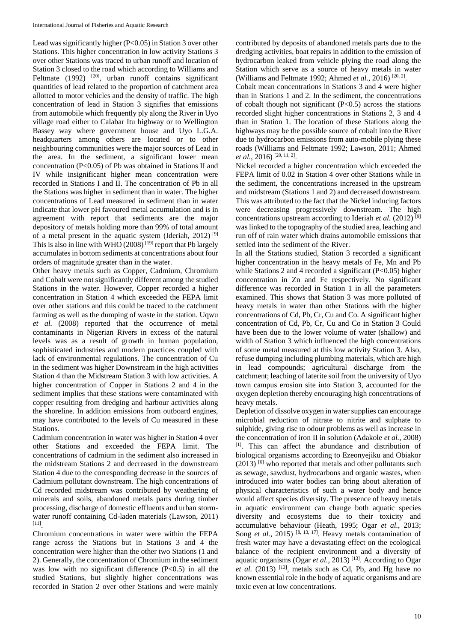Lead was significantly higher (P<0.05) in Station 3 over other Stations. This higher concentration in low activity Stations 3 over other Stations was traced to urban runoff and location of Station 3 closed to the road which according to Williams and Feltmate (1992) <sup>[20]</sup>, urban runoff contains significant quantities of lead related to the proportion of catchment area allotted to motor vehicles and the density of traffic. The high concentration of lead in Station 3 signifies that emissions from automobile which frequently ply along the River in Uyo village road either to Calabar Itu highway or to Wellington Bassey way where government house and Uyo L.G.A. headquarters among others are located or to other neighbouring communities were the major sources of Lead in the area. In the sediment, a significant lower mean concentration  $(P<0.05)$  of Pb was obtained in Stations II and IV while insignificant higher mean concentration were recorded in Stations I and II. The concentration of Pb in all the Stations was higher in sediment than in water. The higher concentrations of Lead measured in sediment than in water indicate that lower pH favoured metal accumulation and is in agreement with report that sediments are the major depository of metals holding more than 99% of total amount of a metal present in the aquatic system (Ideriah, 2012) [9] This is also in line with WHO  $(2008)$ <sup>[19]</sup> report that Pb largely accumulates in bottom sediments at concentrations about four orders of magnitude greater than in the water.

Other heavy metals such as Copper, Cadmium, Chromium and Cobalt were not significantly different among the studied Stations in the water. However, Copper recorded a higher concentration in Station 4 which exceeded the FEPA limit over other stations and this could be traced to the catchment farming as well as the dumping of waste in the station. Uqwu *et al.* (2008) reported that the occurrence of metal contaminants in Nigerian Rivers in excess of the natural levels was as a result of growth in human population, sophisticated industries and modern practices coupled with lack of environmental regulations. The concentration of Cu in the sediment was higher Downstream in the high activities Station 4 than the Midstream Station 3 with low activities. A higher concentration of Copper in Stations 2 and 4 in the sediment implies that these stations were contaminated with copper resulting from dredging and harbour activities along the shoreline. In addition emissions from outboard engines, may have contributed to the levels of Cu measured in these Stations.

Cadmium concentration in water was higher in Station 4 over other Stations and exceeded the FEPA limit. The concentrations of cadmium in the sediment also increased in the midstream Stations 2 and decreased in the downstream Station 4 due to the corresponding decrease in the sources of Cadmium pollutant downstream. The high concentrations of Cd recorded midstream was contributed by weathering of minerals and soils, abandoned metals parts during timber processing, discharge of domestic effluents and urban stormwater runoff containing Cd-laden materials (Lawson, 2011) [11] .

Chromium concentrations in water were within the FEPA range across the Stations but in Stations 3 and 4 the concentration were higher than the other two Stations (1 and 2). Generally, the concentration of Chromium in the sediment was low with no significant difference  $(P<0.5)$  in all the studied Stations, but slightly higher concentrations was recorded in Station 2 over other Stations and were mainly

contributed by deposits of abandoned metals parts due to the dredging activities, boat repairs in addition to the emission of hydrocarbon leaked from vehicle plying the road along the Station which serve as a source of heavy metals in water (Williams and Feltmate 1992; Ahmed *et al.*, 2016)<sup>[20, 2]</sup>.

Cobalt mean concentrations in Stations 3 and 4 were higher than in Stations 1 and 2. In the sediment, the concentrations of cobalt though not significant  $(P<0.5)$  across the stations recorded slight higher concentrations in Stations 2, 3 and 4 than in Station 1. The location of these Stations along the highways may be the possible source of cobalt into the River due to hydrocarbon emissions from auto-mobile plying these roads (Williams and Feltmate 1992; Lawson, 2011; Ahmed et al., 2016)<sup>[20, 11, 2]</sup>.

Nickel recorded a higher concentration which exceeded the FEPA limit of 0.02 in Station 4 over other Stations while in the sediment, the concentrations increased in the upstream and midstream (Stations 1 and 2) and decreased downstream. This was attributed to the fact that the Nickel inducing factors were decreasing progressively downstream. The high concentrations upstream according to Ideriah *et al.* (2012) [9] was linked to the topography of the studied area, leaching and run off of rain water which drains automobile emissions that settled into the sediment of the River.

In all the Stations studied, Station 3 recorded a significant higher concentration in the heavy metals of Fe, Mn and Pb while Stations 2 and 4 recorded a significant (P<0.05) higher concentration in Zn and Fe respectively. No significant difference was recorded in Station 1 in all the parameters examined. This shows that Station 3 was more polluted of heavy metals in water than other Stations with the higher concentrations of Cd, Pb, Cr, Cu and Co. A significant higher concentration of Cd, Pb, Cr, Cu and Co in Station 3 Could have been due to the lower volume of water (shallow) and width of Station 3 which influenced the high concentrations of some metal measured at this low activity Station 3. Also, refuse dumping including plumbing materials, which are high in lead compounds; agricultural discharge from the catchment; leaching of laterite soil from the university of Uyo town campus erosion site into Station 3, accounted for the oxygen depletion thereby encouraging high concentrations of heavy metals.

Depletion of dissolve oxygen in water supplies can encourage microbial reduction of nitrate to nitrite and sulphate to sulphide, giving rise to odour problems as well as increase in the concentration of iron II in solution (Adakole *et al.*, 2008) [1]. This can affect the abundance and distribution of biological organisms according to Ezeonyejiku and Obiakor  $(2013)$  <sup>[6]</sup> who reported that metals and other pollutants such as sewage, sawdust, hydrocarbons and organic wastes, when introduced into water bodies can bring about alteration of physical characteristics of such a water body and hence would affect species diversity. The presence of heavy metals in aquatic environment can change both aquatic species diversity and ecosystems due to their toxicity and accumulative behaviour (Heath, 1995; Ogar *et al.*, 2013; Song *et al.*, 2015)<sup>[8, 13, 17]. Heavy metals contamination of</sup> fresh water may have a devastating effect on the ecological balance of the recipient environment and a diversity of aquatic organisms (Ogar et al., 2013)<sup>[13]</sup>. According to Ogar *et al.* (2013) <sup>[13]</sup>, metals such as Cd, Pb, and Hg have no known essential role in the body of aquatic organisms and are toxic even at low concentrations.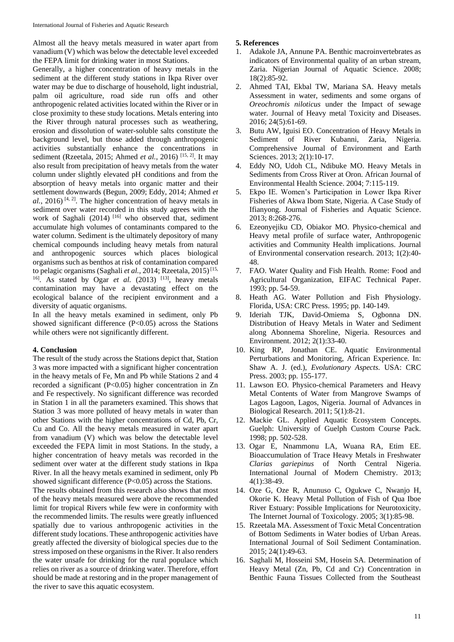Almost all the heavy metals measured in water apart from vanadium (V) which was below the detectable level exceeded the FEPA limit for drinking water in most Stations.

Generally, a higher concentration of heavy metals in the sediment at the different study stations in Ikpa River over water may be due to discharge of household, light industrial, palm oil agriculture, road side run offs and other anthropogenic related activities located within the River or in close proximity to these study locations. Metals entering into the River through natural processes such as weathering, erosion and dissolution of water-soluble salts constitute the background level, but those added through anthropogenic activities substantially enhance the concentrations in sediment (Rzeetala, 2015; Ahmed *et al.*, 2016) [15, 2]. It may also result from precipitation of heavy metals from the water column under slightly elevated pH conditions and from the absorption of heavy metals into organic matter and their settlement downwards (Begun, 2009; Eddy, 2014; Ahmed *et*   $al.$ , 2016)<sup>[4, 2]</sup>. The higher concentration of heavy metals in sediment over water recorded in this study agrees with the work of Saghali  $(2014)$ <sup>[16]</sup> who observed that, sediment accumulate high volumes of contaminants compared to the water column. Sediment is the ultimately depository of many chemical compounds including heavy metals from natural and anthropogenic sources which places biological organisms such as benthos at risk of contamination compared to pelagic organisms (Saghali et al., 2014; Rzeetala, 2015)<sup>[15,</sup> <sup>16]</sup>. As stated by Ogar *et al.* (2013) <sup>[13]</sup>, heavy metals contamination may have a devastating effect on the ecological balance of the recipient environment and a diversity of aquatic organisms.

In all the heavy metals examined in sediment, only Pb showed significant difference (P<0.05) across the Stations while others were not significantly different.

#### **4. Conclusion**

The result of the study across the Stations depict that, Station 3 was more impacted with a significant higher concentration in the heavy metals of Fe, Mn and Pb while Stations 2 and 4 recorded a significant (P<0.05) higher concentration in Zn and Fe respectively. No significant difference was recorded in Station 1 in all the parameters examined. This shows that Station 3 was more polluted of heavy metals in water than other Stations with the higher concentrations of Cd, Pb, Cr, Cu and Co. All the heavy metals measured in water apart from vanadium (V) which was below the detectable level exceeded the FEPA limit in most Stations. In the study, a higher concentration of heavy metals was recorded in the sediment over water at the different study stations in Ikpa River. In all the heavy metals examined in sediment, only Pb showed significant difference (P<0.05) across the Stations.

The results obtained from this research also shows that most of the heavy metals measured were above the recommended limit for tropical Rivers while few were in conformity with the recommended limits. The results were greatly influenced spatially due to various anthropogenic activities in the different study locations. These anthropogenic activities have greatly affected the diversity of biological species due to the stress imposed on these organisms in the River. It also renders the water unsafe for drinking for the rural populace which relies on river as a source of drinking water. Therefore, effort should be made at restoring and in the proper management of the river to save this aquatic ecosystem.

#### **5. References**

- 1. Adakole JA, Annune PA. Benthic macroinvertebrates as indicators of Environmental quality of an urban stream, Zaria. Nigerian Journal of Aquatic Science. 2008; 18(2):85-92.
- 2. Ahmed TAI, Ekbal TW, Mariana SA. Heavy metals Assessment in water, sediments and some organs of *Oreochromis niloticus* under the Impact of sewage water. Journal of Heavy metal Toxicity and Diseases. 2016; 24(5):61-69.
- 3. Butu AW, Iguisi EO. Concentration of Heavy Metals in Sediment of River Kubanni, Zaria, Nigeria. Comprehensive Journal of Environment and Earth Sciences. 2013; 2(1):10-17.
- 4. Eddy NO, Udoh CL, Ndibuke MO. Heavy Metals in Sediments from Cross River at Oron. African Journal of Environmental Health Science. 2004; 7:115-119.
- 5. Ekpo IE. Women's Participation in Lower Ikpa River Fisheries of Akwa Ibom State, Nigeria. A Case Study of Ifianyong. Journal of Fisheries and Aquatic Science. 2013; 8:268-276.
- 6. Ezeonyejiku CD, Obiakor MO. Physico-chemical and Heavy metal profile of surface water, Anthropogenic activities and Community Health implications. Journal of Environmental conservation research. 2013; 1(2):40- 48.
- 7. FAO. Water Quality and Fish Health*.* Rome: Food and Agricultural Organization, EIFAC Technical Paper. 1993; pp. 54-59.
- 8. Heath AG. Water Pollution and Fish Physiology. Florida, USA: CRC Press. 1995; pp. 140-149.
- 9. Ideriah TJK, David-Omiema S, Ogbonna DN. Distribution of Heavy Metals in Water and Sediment along Abonnema Shoreline, Nigeria. Resources and Environment. 2012; 2(1):33-40.
- 10. King RP, Jonathan CE. Aquatic Environmental Perturbations and Monitoring, African Experience. In: Shaw A. J. (ed.), *Evolutionary Aspects.* USA: CRC Press. 2003; pp. 155-177.
- 11. Lawson EO. Physico-chemical Parameters and Heavy Metal Contents of Water from Mangrove Swamps of Lagos Lagoon, Lagos, Nigeria. Journal of Advances in Biological Research. 2011; 5(1):8-21.
- 12. Mackie GL. Applied Aquatic Ecosystem Concepts. Guelph: University of Guelph Custom Course Pack. 1998; pp. 502-528.
- 13. Ogar E, Nnammonu LA, Wuana RA, Etim EE. Bioaccumulation of Trace Heavy Metals in Freshwater *Clarias gariepinus* of North Central Nigeria. International Journal of Modern Chemistry. 2013; 4(1):38-49.
- 14. Oze G, Oze R, Anunuso C, Ogukwe C, Nwanjo H, Okorie K. Heavy Metal Pollution of Fish of Qua Iboe River Estuary: Possible Implications for Neurotoxicity. The Internet Journal of Toxicology. 2005; 3(1):85-98.
- 15. Rzeetala MA. Assessment of Toxic Metal Concentration of Bottom Sediments in Water bodies of Urban Areas. International Journal of Soil Sediment Contamination. 2015; 24(1):49-63.
- 16. Saghali M, Hosseini SM, Hosein SA. Determination of Heavy Metal (Zn, Pb, Cd and Cr) Concentration in Benthic Fauna Tissues Collected from the Southeast